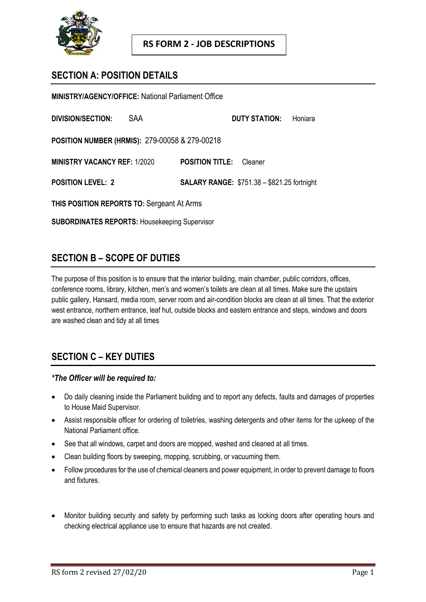

## **SECTION A: POSITION DETAILS**

**MINISTRY/AGENCY/OFFICE:** National Parliament Office **DIVISION/SECTION:** SAA **DUTY STATION:** Honiara **POSITION NUMBER (HRMIS):** 279-00058 & 279-00218 **MINISTRY VACANCY REF:** 1/2020 **POSITION TITLE:** Cleaner **POSITION LEVEL: 2 SALARY RANGE:** \$751.38 – \$821.25 fortnight **THIS POSITION REPORTS TO:** Sergeant At Arms **SUBORDINATES REPORTS:** Housekeeping Supervisor

## **SECTION B – SCOPE OF DUTIES**

The purpose of this position is to ensure that the interior building, main chamber, public corridors, offices, conference rooms, library, kitchen, men's and women's toilets are clean at all times. Make sure the upstairs public gallery, Hansard, media room, server room and air-condition blocks are clean at all times. That the exterior west entrance, northern entrance, leaf hut, outside blocks and eastern entrance and steps, windows and doors are washed clean and tidy at all times

# **SECTION C – KEY DUTIES**

### *\*The Officer will be required to:*

- Do daily cleaning inside the Parliament building and to report any defects, faults and damages of properties to House Maid Supervisor.
- Assist responsible officer for ordering of toiletries, washing detergents and other items for the upkeep of the National Parliament office.
- See that all windows, carpet and doors are mopped, washed and cleaned at all times.
- Clean building floors by sweeping, mopping, scrubbing, or vacuuming them.
- Follow procedures for the use of chemical cleaners and power equipment, in order to prevent damage to floors and fixtures.
- Monitor building security and safety by performing such tasks as locking doors after operating hours and checking electrical appliance use to ensure that hazards are not created.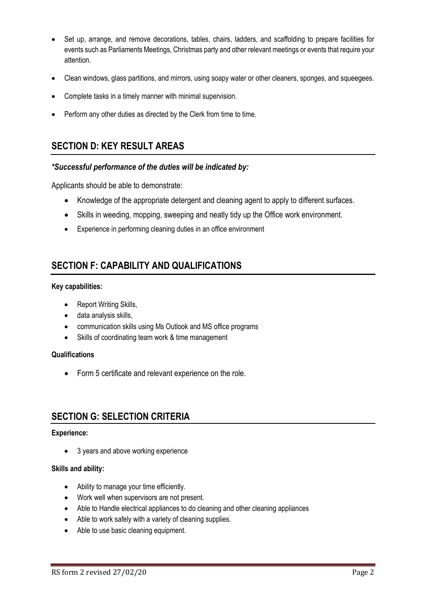- Set up, arrange, and remove decorations, tables, chairs, ladders, and scaffolding to prepare facilities for events such as Parliaments Meetings, Christmas party and other relevant meetings or events that require your attention.
- Clean windows, glass partitions, and mirrors, using soapy water or other cleaners, sponges, and squeegees.
- Complete tasks in a timely manner with minimal supervision.
- Perform any other duties as directed by the Clerk from time to time.

## **SECTION D: KEY RESULT AREAS**

### *\*Successful performance of the duties will be indicated by:*

Applicants should be able to demonstrate:

- Knowledge of the appropriate detergent and cleaning agent to apply to different surfaces.
- Skills in weeding, mopping, sweeping and neatly tidy up the Office work environment.
- Experience in performing cleaning duties in an office environment

## **SECTION F: CAPABILITY AND QUALIFICATIONS**

#### **Key capabilities:**

- Report Writing Skills,
- data analysis skills,
- communication skills using Ms Outlook and MS office programs
- Skills of coordinating team work & time management

#### **Qualifications**

Form 5 certificate and relevant experience on the role.

### **SECTION G: SELECTION CRITERIA**

#### **Experience:**

• 3 years and above working experience

#### **Skills and ability:**

- Ability to manage your time efficiently.
- Work well when supervisors are not present.
- Able to Handle electrical appliances to do cleaning and other cleaning appliances
- Able to work safely with a variety of cleaning supplies.
- Able to use basic cleaning equipment.